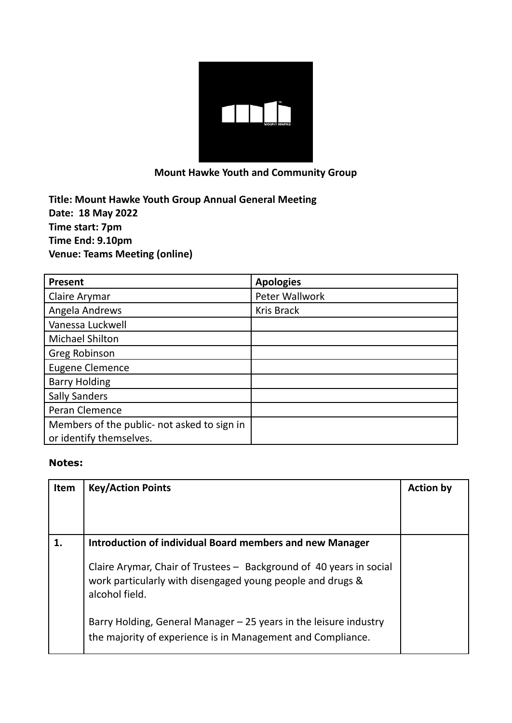

## **Mount Hawke Youth and Community Group**

**Title: Mount Hawke Youth Group Annual General Meeting Date: 18 May 2022 Time start: 7pm Time End: 9.10pm Venue: Teams Meeting (online)**

| <b>Present</b>                              | <b>Apologies</b>  |
|---------------------------------------------|-------------------|
| Claire Arymar                               | Peter Wallwork    |
| Angela Andrews                              | <b>Kris Brack</b> |
| Vanessa Luckwell                            |                   |
| <b>Michael Shilton</b>                      |                   |
| Greg Robinson                               |                   |
| <b>Eugene Clemence</b>                      |                   |
| <b>Barry Holding</b>                        |                   |
| <b>Sally Sanders</b>                        |                   |
| <b>Peran Clemence</b>                       |                   |
| Members of the public- not asked to sign in |                   |
| or identify themselves.                     |                   |

## **Notes:**

| Item | <b>Key/Action Points</b>                                                                                                                            | <b>Action by</b> |
|------|-----------------------------------------------------------------------------------------------------------------------------------------------------|------------------|
|      | Introduction of individual Board members and new Manager                                                                                            |                  |
|      | Claire Arymar, Chair of Trustees - Background of 40 years in social<br>work particularly with disengaged young people and drugs &<br>alcohol field. |                  |
|      | Barry Holding, General Manager – 25 years in the leisure industry<br>the majority of experience is in Management and Compliance.                    |                  |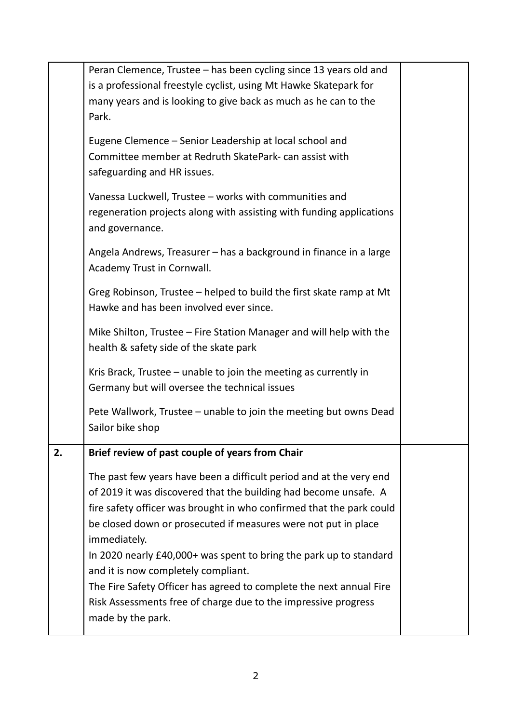|    | Peran Clemence, Trustee – has been cycling since 13 years old and    |  |  |  |
|----|----------------------------------------------------------------------|--|--|--|
|    | is a professional freestyle cyclist, using Mt Hawke Skatepark for    |  |  |  |
|    | many years and is looking to give back as much as he can to the      |  |  |  |
|    | Park.                                                                |  |  |  |
|    |                                                                      |  |  |  |
|    | Eugene Clemence – Senior Leadership at local school and              |  |  |  |
|    | Committee member at Redruth SkatePark- can assist with               |  |  |  |
|    | safeguarding and HR issues.                                          |  |  |  |
|    | Vanessa Luckwell, Trustee - works with communities and               |  |  |  |
|    | regeneration projects along with assisting with funding applications |  |  |  |
|    | and governance.                                                      |  |  |  |
|    |                                                                      |  |  |  |
|    | Angela Andrews, Treasurer - has a background in finance in a large   |  |  |  |
|    | Academy Trust in Cornwall.                                           |  |  |  |
|    | Greg Robinson, Trustee - helped to build the first skate ramp at Mt  |  |  |  |
|    | Hawke and has been involved ever since.                              |  |  |  |
|    |                                                                      |  |  |  |
|    |                                                                      |  |  |  |
|    | health & safety side of the skate park                               |  |  |  |
|    | Kris Brack, Trustee – unable to join the meeting as currently in     |  |  |  |
|    | Germany but will oversee the technical issues                        |  |  |  |
|    |                                                                      |  |  |  |
|    | Pete Wallwork, Trustee - unable to join the meeting but owns Dead    |  |  |  |
|    | Sailor bike shop                                                     |  |  |  |
|    |                                                                      |  |  |  |
|    |                                                                      |  |  |  |
| 2. | Brief review of past couple of years from Chair                      |  |  |  |
|    | The past few years have been a difficult period and at the very end  |  |  |  |
|    | of 2019 it was discovered that the building had become unsafe. A     |  |  |  |
|    | fire safety officer was brought in who confirmed that the park could |  |  |  |
|    | be closed down or prosecuted if measures were not put in place       |  |  |  |
|    | immediately.                                                         |  |  |  |
|    | In 2020 nearly £40,000+ was spent to bring the park up to standard   |  |  |  |
|    | and it is now completely compliant.                                  |  |  |  |
|    | The Fire Safety Officer has agreed to complete the next annual Fire  |  |  |  |
|    | Risk Assessments free of charge due to the impressive progress       |  |  |  |
|    | made by the park.                                                    |  |  |  |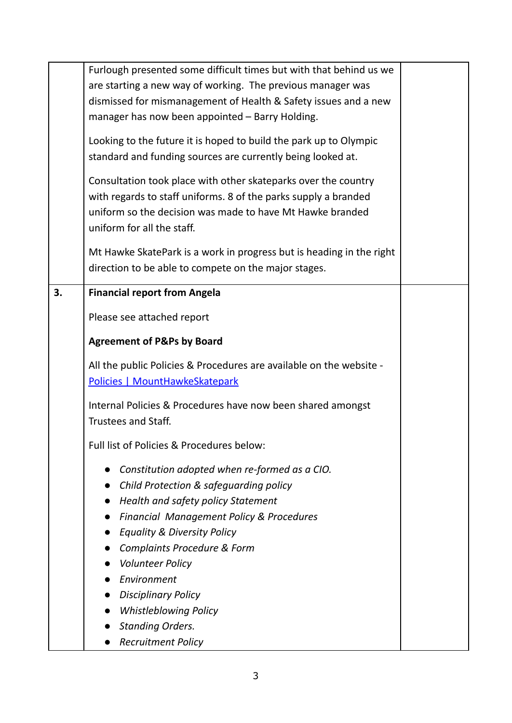|    | Furlough presented some difficult times but with that behind us we<br>are starting a new way of working. The previous manager was<br>dismissed for mismanagement of Health & Safety issues and a new                         |  |
|----|------------------------------------------------------------------------------------------------------------------------------------------------------------------------------------------------------------------------------|--|
|    | manager has now been appointed - Barry Holding.                                                                                                                                                                              |  |
|    | Looking to the future it is hoped to build the park up to Olympic<br>standard and funding sources are currently being looked at.                                                                                             |  |
|    | Consultation took place with other skateparks over the country<br>with regards to staff uniforms. 8 of the parks supply a branded<br>uniform so the decision was made to have Mt Hawke branded<br>uniform for all the staff. |  |
|    | Mt Hawke SkatePark is a work in progress but is heading in the right<br>direction to be able to compete on the major stages.                                                                                                 |  |
| 3. | <b>Financial report from Angela</b>                                                                                                                                                                                          |  |
|    | Please see attached report                                                                                                                                                                                                   |  |
|    | <b>Agreement of P&amp;Ps by Board</b>                                                                                                                                                                                        |  |
|    | All the public Policies & Procedures are available on the website -<br>Policies   MountHawkeSkatepark                                                                                                                        |  |
|    | Internal Policies & Procedures have now been shared amongst<br>Trustees and Staff.                                                                                                                                           |  |
|    | Full list of Policies & Procedures below:                                                                                                                                                                                    |  |
|    | Constitution adopted when re-formed as a CIO.                                                                                                                                                                                |  |
|    | Child Protection & safequarding policy                                                                                                                                                                                       |  |
|    | Health and safety policy Statement                                                                                                                                                                                           |  |
|    | <b>Financial Management Policy &amp; Procedures</b>                                                                                                                                                                          |  |
|    | Equality & Diversity Policy                                                                                                                                                                                                  |  |
|    | <b>Complaints Procedure &amp; Form</b>                                                                                                                                                                                       |  |
|    | <b>Volunteer Policy</b>                                                                                                                                                                                                      |  |
|    | Environment                                                                                                                                                                                                                  |  |
|    | <b>Disciplinary Policy</b>                                                                                                                                                                                                   |  |
|    | <b>Whistleblowing Policy</b>                                                                                                                                                                                                 |  |
|    | <b>Standing Orders.</b>                                                                                                                                                                                                      |  |
|    | <b>Recruitment Policy</b>                                                                                                                                                                                                    |  |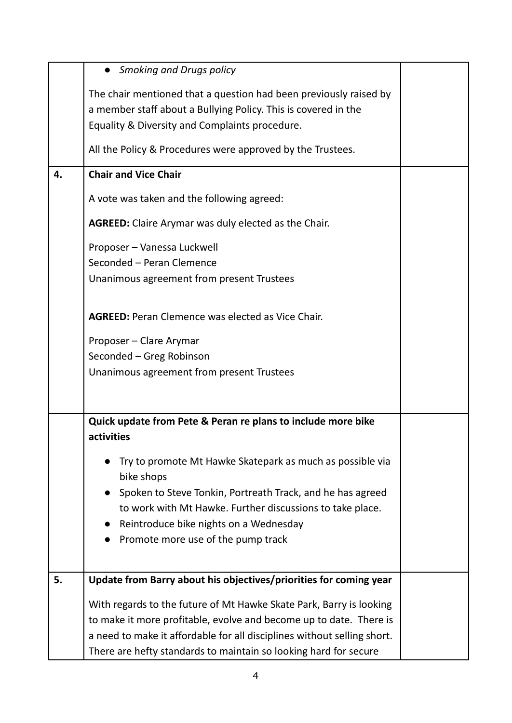|    | <b>Smoking and Drugs policy</b>                                         |  |
|----|-------------------------------------------------------------------------|--|
|    | The chair mentioned that a question had been previously raised by       |  |
|    | a member staff about a Bullying Policy. This is covered in the          |  |
|    | Equality & Diversity and Complaints procedure.                          |  |
|    | All the Policy & Procedures were approved by the Trustees.              |  |
| 4. | <b>Chair and Vice Chair</b>                                             |  |
|    | A vote was taken and the following agreed:                              |  |
|    | <b>AGREED:</b> Claire Arymar was duly elected as the Chair.             |  |
|    | Proposer - Vanessa Luckwell                                             |  |
|    | Seconded - Peran Clemence                                               |  |
|    | Unanimous agreement from present Trustees                               |  |
|    | <b>AGREED:</b> Peran Clemence was elected as Vice Chair.                |  |
|    | Proposer - Clare Arymar                                                 |  |
|    | Seconded - Greg Robinson                                                |  |
|    | Unanimous agreement from present Trustees                               |  |
|    |                                                                         |  |
|    | Quick update from Pete & Peran re plans to include more bike            |  |
|    | activities                                                              |  |
|    | Try to promote Mt Hawke Skatepark as much as possible via<br>bike shops |  |
|    | Spoken to Steve Tonkin, Portreath Track, and he has agreed              |  |
|    | to work with Mt Hawke. Further discussions to take place.               |  |
|    | Reintroduce bike nights on a Wednesday                                  |  |
|    | Promote more use of the pump track                                      |  |
|    |                                                                         |  |
| 5. | Update from Barry about his objectives/priorities for coming year       |  |
|    | With regards to the future of Mt Hawke Skate Park, Barry is looking     |  |
|    | to make it more profitable, evolve and become up to date. There is      |  |
|    | a need to make it affordable for all disciplines without selling short. |  |
|    | There are hefty standards to maintain so looking hard for secure        |  |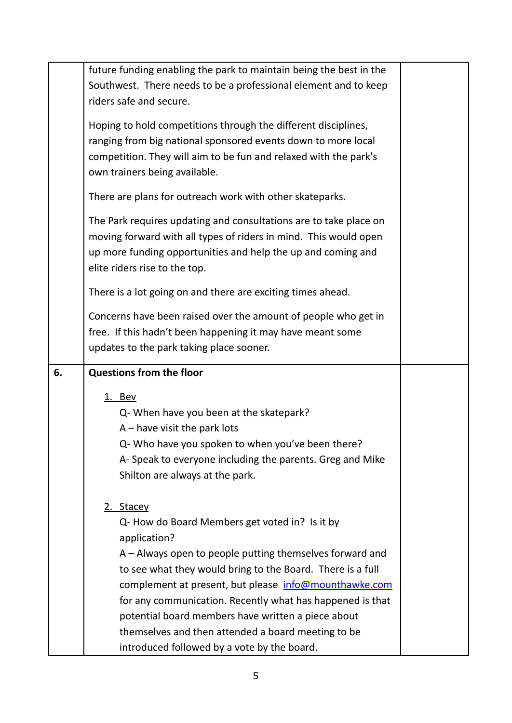|    | future funding enabling the park to maintain being the best in the                                                                                                                                                                                                                                                                                                                                                                      |  |
|----|-----------------------------------------------------------------------------------------------------------------------------------------------------------------------------------------------------------------------------------------------------------------------------------------------------------------------------------------------------------------------------------------------------------------------------------------|--|
|    | Southwest. There needs to be a professional element and to keep                                                                                                                                                                                                                                                                                                                                                                         |  |
|    | riders safe and secure.                                                                                                                                                                                                                                                                                                                                                                                                                 |  |
|    | Hoping to hold competitions through the different disciplines,<br>ranging from big national sponsored events down to more local<br>competition. They will aim to be fun and relaxed with the park's<br>own trainers being available.                                                                                                                                                                                                    |  |
|    | There are plans for outreach work with other skateparks.                                                                                                                                                                                                                                                                                                                                                                                |  |
|    | The Park requires updating and consultations are to take place on<br>moving forward with all types of riders in mind. This would open<br>up more funding opportunities and help the up and coming and<br>elite riders rise to the top.                                                                                                                                                                                                  |  |
|    | There is a lot going on and there are exciting times ahead.                                                                                                                                                                                                                                                                                                                                                                             |  |
|    | Concerns have been raised over the amount of people who get in<br>free. If this hadn't been happening it may have meant some<br>updates to the park taking place sooner.                                                                                                                                                                                                                                                                |  |
|    |                                                                                                                                                                                                                                                                                                                                                                                                                                         |  |
| 6. | <b>Questions from the floor</b>                                                                                                                                                                                                                                                                                                                                                                                                         |  |
|    | 1. Bev<br>Q- When have you been at the skatepark?<br>$A$ – have visit the park lots<br>Q- Who have you spoken to when you've been there?<br>A-Speak to everyone including the parents. Greg and Mike<br>Shilton are always at the park.                                                                                                                                                                                                 |  |
|    | 2. Stacey<br>Q- How do Board Members get voted in? Is it by<br>application?<br>A – Always open to people putting themselves forward and<br>to see what they would bring to the Board. There is a full<br>complement at present, but please info@mounthawke.com<br>for any communication. Recently what has happened is that<br>potential board members have written a piece about<br>themselves and then attended a board meeting to be |  |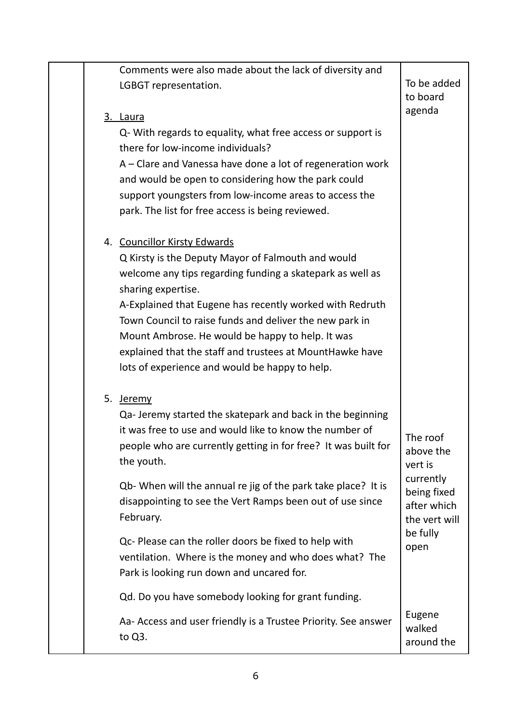|  | Comments were also made about the lack of diversity and                                                              |                          |
|--|----------------------------------------------------------------------------------------------------------------------|--------------------------|
|  | LGBGT representation.                                                                                                | To be added              |
|  |                                                                                                                      | to board                 |
|  | 3. Laura                                                                                                             | agenda                   |
|  | Q- With regards to equality, what free access or support is                                                          |                          |
|  | there for low-income individuals?                                                                                    |                          |
|  | A - Clare and Vanessa have done a lot of regeneration work                                                           |                          |
|  | and would be open to considering how the park could                                                                  |                          |
|  | support youngsters from low-income areas to access the                                                               |                          |
|  | park. The list for free access is being reviewed.                                                                    |                          |
|  |                                                                                                                      |                          |
|  | 4. Councillor Kirsty Edwards                                                                                         |                          |
|  | Q Kirsty is the Deputy Mayor of Falmouth and would                                                                   |                          |
|  | welcome any tips regarding funding a skatepark as well as                                                            |                          |
|  | sharing expertise.                                                                                                   |                          |
|  | A-Explained that Eugene has recently worked with Redruth                                                             |                          |
|  | Town Council to raise funds and deliver the new park in                                                              |                          |
|  | Mount Ambrose. He would be happy to help. It was                                                                     |                          |
|  | explained that the staff and trustees at MountHawke have                                                             |                          |
|  | lots of experience and would be happy to help.                                                                       |                          |
|  |                                                                                                                      |                          |
|  | 5. Jeremy                                                                                                            |                          |
|  | Qa-Jeremy started the skatepark and back in the beginning<br>it was free to use and would like to know the number of |                          |
|  | people who are currently getting in for free? It was built for                                                       | The roof                 |
|  | the youth.                                                                                                           | above the                |
|  |                                                                                                                      | vert is                  |
|  | Qb- When will the annual re jig of the park take place? It is                                                        | currently<br>being fixed |
|  | disappointing to see the Vert Ramps been out of use since                                                            | after which              |
|  | February.                                                                                                            | the vert will            |
|  | Qc- Please can the roller doors be fixed to help with                                                                | be fully                 |
|  | ventilation. Where is the money and who does what? The                                                               | open                     |
|  | Park is looking run down and uncared for.                                                                            |                          |
|  |                                                                                                                      |                          |
|  | Qd. Do you have somebody looking for grant funding.                                                                  |                          |
|  | Aa- Access and user friendly is a Trustee Priority. See answer                                                       | Eugene<br>walked         |
|  | to Q3.                                                                                                               | around the               |
|  |                                                                                                                      |                          |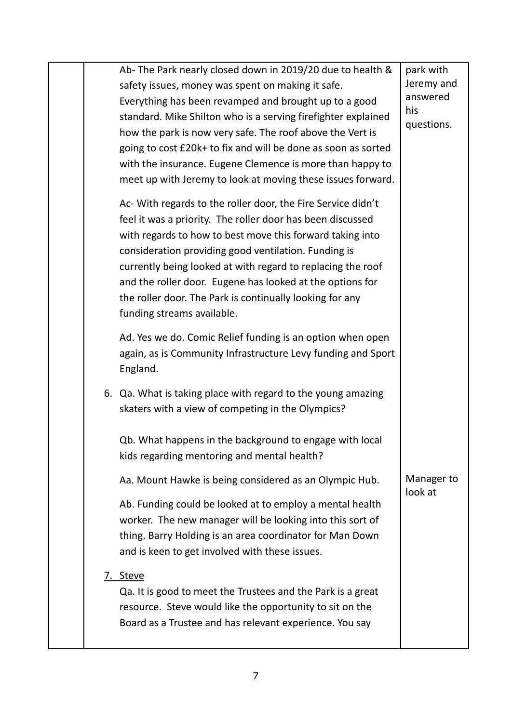|  | Ab- The Park nearly closed down in 2019/20 due to health &<br>safety issues, money was spent on making it safe.<br>Everything has been revamped and brought up to a good<br>standard. Mike Shilton who is a serving firefighter explained<br>how the park is now very safe. The roof above the Vert is<br>going to cost £20k+ to fix and will be done as soon as sorted<br>with the insurance. Eugene Clemence is more than happy to<br>meet up with Jeremy to look at moving these issues forward. | park with<br>Jeremy and<br>answered<br>his<br>questions. |
|--|-----------------------------------------------------------------------------------------------------------------------------------------------------------------------------------------------------------------------------------------------------------------------------------------------------------------------------------------------------------------------------------------------------------------------------------------------------------------------------------------------------|----------------------------------------------------------|
|  | Ac- With regards to the roller door, the Fire Service didn't<br>feel it was a priority. The roller door has been discussed<br>with regards to how to best move this forward taking into<br>consideration providing good ventilation. Funding is<br>currently being looked at with regard to replacing the roof<br>and the roller door. Eugene has looked at the options for<br>the roller door. The Park is continually looking for any<br>funding streams available.                               |                                                          |
|  | Ad. Yes we do. Comic Relief funding is an option when open<br>again, as is Community Infrastructure Levy funding and Sport<br>England.                                                                                                                                                                                                                                                                                                                                                              |                                                          |
|  | 6. Qa. What is taking place with regard to the young amazing<br>skaters with a view of competing in the Olympics?                                                                                                                                                                                                                                                                                                                                                                                   |                                                          |
|  | Qb. What happens in the background to engage with local<br>kids regarding mentoring and mental health?                                                                                                                                                                                                                                                                                                                                                                                              |                                                          |
|  | Aa. Mount Hawke is being considered as an Olympic Hub.                                                                                                                                                                                                                                                                                                                                                                                                                                              | Manager to<br>look at                                    |
|  | Ab. Funding could be looked at to employ a mental health<br>worker. The new manager will be looking into this sort of<br>thing. Barry Holding is an area coordinator for Man Down<br>and is keen to get involved with these issues.                                                                                                                                                                                                                                                                 |                                                          |
|  | 7. Steve<br>Qa. It is good to meet the Trustees and the Park is a great<br>resource. Steve would like the opportunity to sit on the<br>Board as a Trustee and has relevant experience. You say                                                                                                                                                                                                                                                                                                      |                                                          |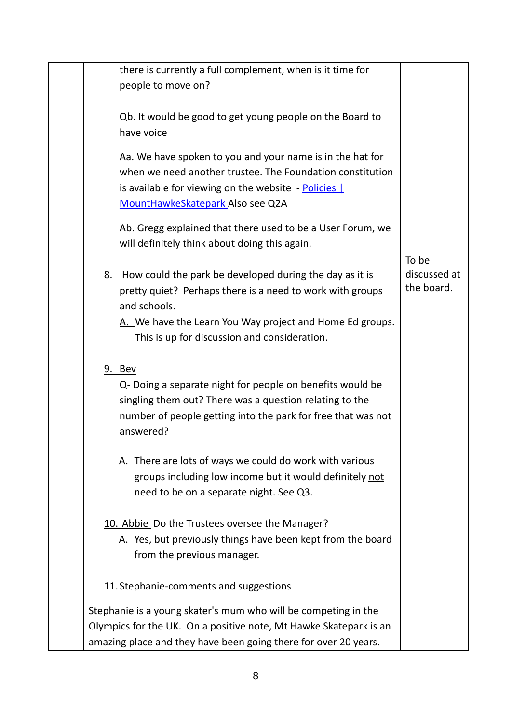| there is currently a full complement, when is it time for<br>people to move on?                                                                                                                                                                     |                                     |
|-----------------------------------------------------------------------------------------------------------------------------------------------------------------------------------------------------------------------------------------------------|-------------------------------------|
| Qb. It would be good to get young people on the Board to<br>have voice                                                                                                                                                                              |                                     |
| Aa. We have spoken to you and your name is in the hat for<br>when we need another trustee. The Foundation constitution<br>is available for viewing on the website - Policies  <br>MountHawkeSkatepark Also see Q2A                                  |                                     |
| Ab. Gregg explained that there used to be a User Forum, we<br>will definitely think about doing this again.                                                                                                                                         |                                     |
| 8. How could the park be developed during the day as it is<br>pretty quiet? Perhaps there is a need to work with groups<br>and schools.<br>A. We have the Learn You Way project and Home Ed groups.<br>This is up for discussion and consideration. | To be<br>discussed at<br>the board. |
| 9. Bev<br>Q- Doing a separate night for people on benefits would be<br>singling them out? There was a question relating to the<br>number of people getting into the park for free that was not<br>answered?                                         |                                     |
| A. There are lots of ways we could do work with various<br>groups including low income but it would definitely not<br>need to be on a separate night. See Q3.                                                                                       |                                     |
| 10. Abbie Do the Trustees oversee the Manager?<br>A. Yes, but previously things have been kept from the board<br>from the previous manager.                                                                                                         |                                     |
| 11. Stephanie-comments and suggestions                                                                                                                                                                                                              |                                     |
| Stephanie is a young skater's mum who will be competing in the<br>Olympics for the UK. On a positive note, Mt Hawke Skatepark is an<br>amazing place and they have been going there for over 20 years.                                              |                                     |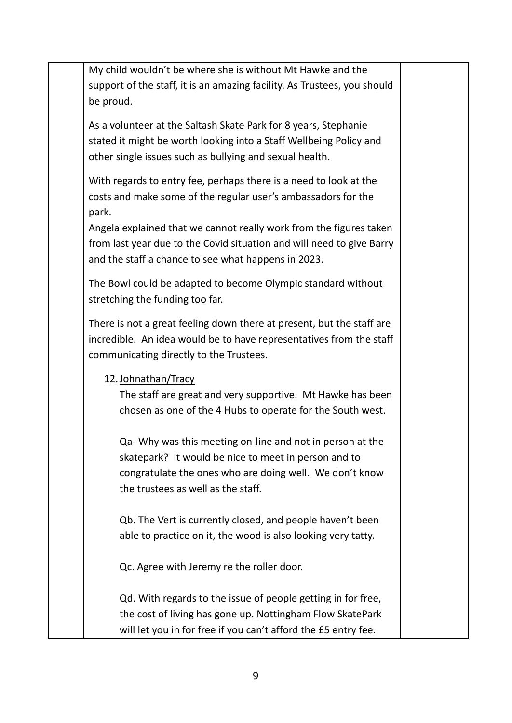My child wouldn't be where she is without Mt Hawke and the support of the staff, it is an amazing facility. As Trustees, you should be proud.

As a volunteer at the Saltash Skate Park for 8 years, Stephanie stated it might be worth looking into a Staff Wellbeing Policy and other single issues such as bullying and sexual health.

With regards to entry fee, perhaps there is a need to look at the costs and make some of the regular user's ambassadors for the park.

Angela explained that we cannot really work from the figures taken from last year due to the Covid situation and will need to give Barry and the staff a chance to see what happens in 2023.

The Bowl could be adapted to become Olympic standard without stretching the funding too far.

There is not a great feeling down there at present, but the staff are incredible. An idea would be to have representatives from the staff communicating directly to the Trustees.

## 12.Johnathan/Tracy

The staff are great and very supportive. Mt Hawke has been chosen as one of the 4 Hubs to operate for the South west.

Qa- Why was this meeting on-line and not in person at the skatepark? It would be nice to meet in person and to congratulate the ones who are doing well. We don't know the trustees as well as the staff.

Qb. The Vert is currently closed, and people haven't been able to practice on it, the wood is also looking very tatty.

Qc. Agree with Jeremy re the roller door.

Qd. With regards to the issue of people getting in for free, the cost of living has gone up. Nottingham Flow SkatePark will let you in for free if you can't afford the £5 entry fee.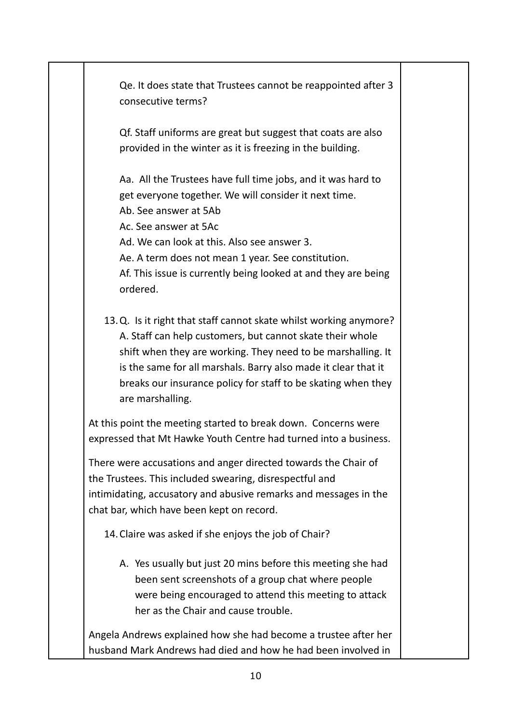Qe. It does state that Trustees cannot be reappointed after 3 consecutive terms?

Qf. Staff uniforms are great but suggest that coats are also provided in the winter as it is freezing in the building.

Aa. All the Trustees have full time jobs, and it was hard to get everyone together. We will consider it next time.

Ab. See answer at 5Ab

Ac. See answer at 5Ac

Ad. We can look at this. Also see answer 3.

Ae. A term does not mean 1 year. See constitution.

Af. This issue is currently being looked at and they are being ordered.

13.Q. Is it right that staff cannot skate whilst working anymore? A. Staff can help customers, but cannot skate their whole shift when they are working. They need to be marshalling. It is the same for all marshals. Barry also made it clear that it breaks our insurance policy for staff to be skating when they are marshalling.

At this point the meeting started to break down. Concerns were expressed that Mt Hawke Youth Centre had turned into a business.

There were accusations and anger directed towards the Chair of the Trustees. This included swearing, disrespectful and intimidating, accusatory and abusive remarks and messages in the chat bar, which have been kept on record.

14.Claire was asked if she enjoys the job of Chair?

A. Yes usually but just 20 mins before this meeting she had been sent screenshots of a group chat where people were being encouraged to attend this meeting to attack her as the Chair and cause trouble.

Angela Andrews explained how she had become a trustee after her husband Mark Andrews had died and how he had been involved in